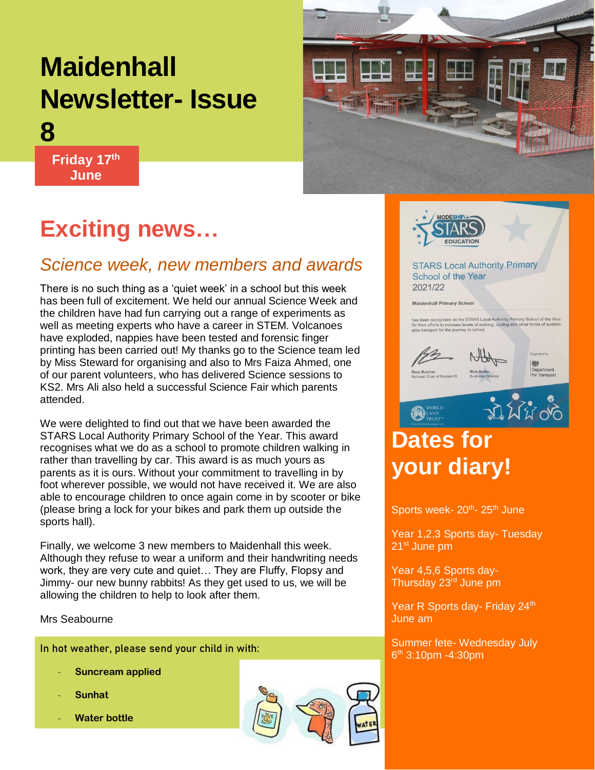# **Maidenhall Newsletter- Issue**

**THE LA** 

**Friday 17th June**

**8**

# **Exciting news…**

### *Science week, new members and awards*

There is no such thing as a 'quiet week' in a school but this week has been full of excitement. We held our annual Science Week and the children have had fun carrying out a range of experiments as well as meeting experts who have a career in STEM. Volcanoes have exploded, nappies have been tested and forensic finger printing has been carried out! My thanks go to the Science team led by Miss Steward for organising and also to Mrs Faiza Ahmed, one of our parent volunteers, who has delivered Science sessions to KS2. Mrs Ali also held a successful Science Fair which parents attended.

We were delighted to find out that we have been awarded the STARS Local Authority Primary School of the Year. This award recognises what we do as a school to promote children walking in rather than travelling by car. This award is as much yours as parents as it is ours. Without your commitment to travelling in by foot wherever possible, we would not have received it. We are also able to encourage children to once again come in by scooter or bike (please bring a lock for your bikes and park them up outside the sports hall).

Finally, we welcome 3 new members to Maidenhall this week. Although they refuse to wear a uniform and their handwriting needs work, they are very cute and quiet… They are Fluffy, Flopsy and Jimmy- our new bunny rabbits! As they get used to us, we will be allowing the children to help to look after them.

#### Mrs Seabourne

In hot weather, please send your child in with:

- **Suncream applied**
- **Sunhat**
- **Water bottle**





**STARS Local Authority Primary** School of the Year 2021/22

Maidenhall Primary School

has been recognised as the STARS Local Authority Primary School of the Yea<br>for their efforts to increase levels of walking, cycling and other forms of sustain<br>able transport for the journey to school.





## **Dates for your diary!**

 $\bigcircled{S}^{\text{workLD}}_{\text{TRUST}^{\text{}}_{\text{}}$ 

Sports week- 20<sup>th</sup>- 25<sup>th</sup> June

Year 1,2,3 Sports day- Tuesday 21st June pm

Year 4,5,6 Sports day-Thursday 23rd June pm

Year R Sports day- Friday 24th June am

Summer fete- Wednesday July  $6<sup>th</sup>$  3:10pm -4:30pm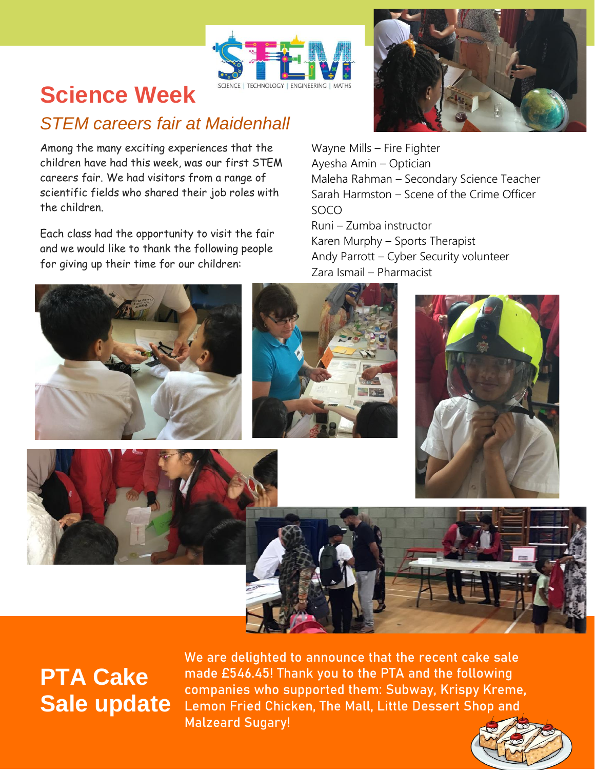

## **Science Week**

### *STEM careers fair at Maidenhall*

Among the many exciting experiences that the children have had this week, was our first STEM careers fair. We had visitors from a range of scientific fields who shared their job roles with the children.

Each class had the opportunity to visit the fair and we would like to thank the following people for giving up their time for our children:



Wayne Mills – Fire Fighter Ayesha Amin – Optician Maleha Rahman – Secondary Science Teacher Sarah Harmston – Scene of the Crime Officer SOCO

Runi – Zumba instructor Karen Murphy – Sports Therapist Andy Parrott – Cyber Security volunteer Zara Ismail – Pharmacist











# **PTA Cake Sale update**

We are delighted to announce that the recent cake sale made £546.45! Thank you to the PTA and the following companies who supported them: Subway, Krispy Kreme, Lemon Fried Chicken, The Mall, Little Dessert Shop and Malzeard Sugary!